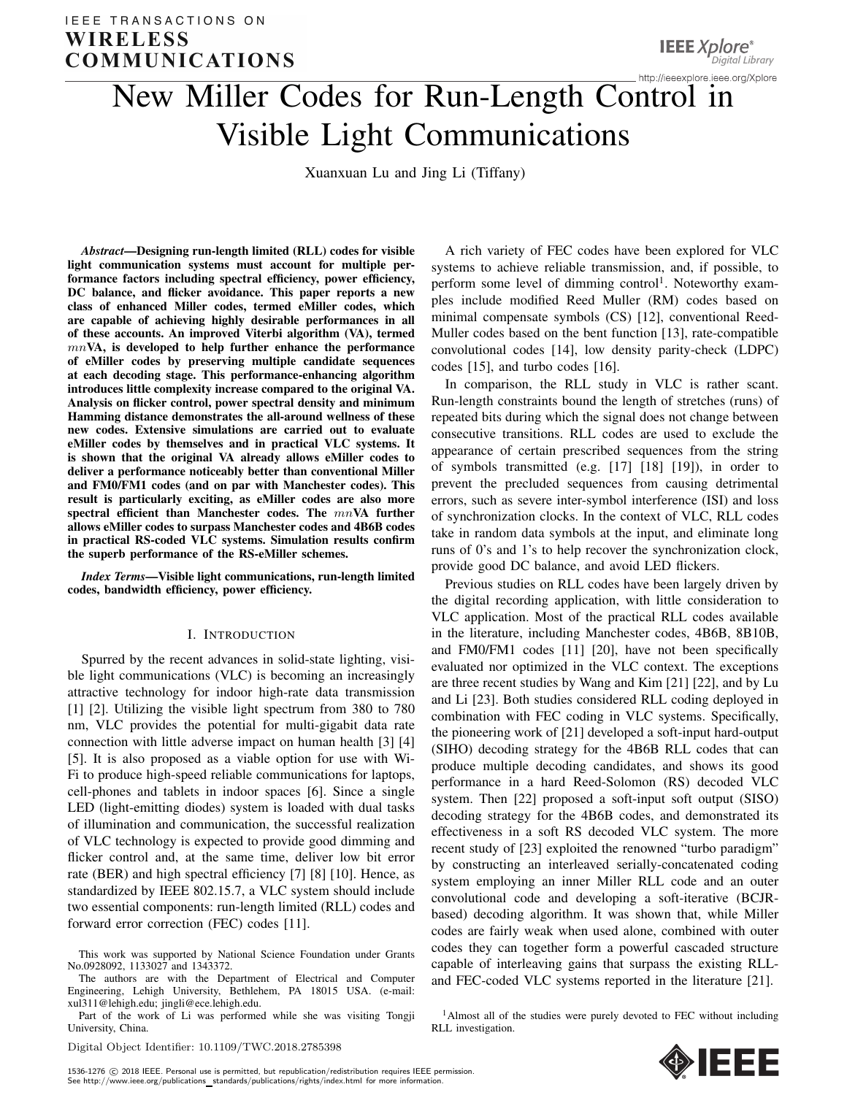# IEEE TRANSACTIONS ON **WIRELESS COMMUNICATIONS**

# New Miller Codes for Run-Length Control in Visible Light Communications

Xuanxuan Lu and Jing Li (Tiffany)

*Abstract*—Designing run-length limited (RLL) codes for visible light communication systems must account for multiple performance factors including spectral efficiency, power efficiency, DC balance, and flicker avoidance. This paper reports a new class of enhanced Miller codes, termed eMiller codes, which are capable of achieving highly desirable performances in all of these accounts. An improved Viterbi algorithm (VA), termed  $mn$ VA, is developed to help further enhance the performance of eMiller codes by preserving multiple candidate sequences at each decoding stage. This performance-enhancing algorithm introduces little complexity increase compared to the original VA. Analysis on flicker control, power spectral density and minimum Hamming distance demonstrates the all-around wellness of these new codes. Extensive simulations are carried out to evaluate eMiller codes by themselves and in practical VLC systems. It is shown that the original VA already allows eMiller codes to deliver a performance noticeably better than conventional Miller and FM0/FM1 codes (and on par with Manchester codes). This result is particularly exciting, as eMiller codes are also more spectral efficient than Manchester codes. The  $mnVA$  further allows eMiller codes to surpass Manchester codes and 4B6B codes in practical RS-coded VLC systems. Simulation results confirm the superb performance of the RS-eMiller schemes.

*Index Terms*—Visible light communications, run-length limited codes, bandwidth efficiency, power efficiency.

#### I. INTRODUCTION

Spurred by the recent advances in solid-state lighting, visible light communications (VLC) is becoming an increasingly attractive technology for indoor high-rate data transmission [1] [2]. Utilizing the visible light spectrum from 380 to 780 nm, VLC provides the potential for multi-gigabit data rate connection with little adverse impact on human health [3] [4] [5]. It is also proposed as a viable option for use with Wi-Fi to produce high-speed reliable communications for laptops, cell-phones and tablets in indoor spaces [6]. Since a single LED (light-emitting diodes) system is loaded with dual tasks of illumination and communication, the successful realization of VLC technology is expected to provide good dimming and flicker control and, at the same time, deliver low bit error rate (BER) and high spectral efficiency [7] [8] [10]. Hence, as standardized by IEEE 802.15.7, a VLC system should include two essential components: run-length limited (RLL) codes and forward error correction (FEC) codes [11].

The authors are with the Department of Electrical and Computer Engineering, Lehigh University, Bethlehem, PA 18015 USA. (e-mail: xul311@lehigh.edu; jingli@ece.lehigh.edu.

Part of the work of Li was performed while she was visiting Tongji University, China.

Digital Object Identifier: 10.1109/TWC.2018.2785398

A rich variety of FEC codes have been explored for VLC systems to achieve reliable transmission, and, if possible, to perform some level of dimming control<sup>1</sup>. Noteworthy examples include modified Reed Muller (RM) codes based on minimal compensate symbols (CS) [12], conventional Reed-Muller codes based on the bent function [13], rate-compatible convolutional codes [14], low density parity-check (LDPC) codes [15], and turbo codes [16].

In comparison, the RLL study in VLC is rather scant. Run-length constraints bound the length of stretches (runs) of repeated bits during which the signal does not change between consecutive transitions. RLL codes are used to exclude the appearance of certain prescribed sequences from the string of symbols transmitted (e.g. [17] [18] [19]), in order to prevent the precluded sequences from causing detrimental errors, such as severe inter-symbol interference (ISI) and loss of synchronization clocks. In the context of VLC, RLL codes take in random data symbols at the input, and eliminate long runs of 0's and 1's to help recover the synchronization clock, provide good DC balance, and avoid LED flickers.

Previous studies on RLL codes have been largely driven by the digital recording application, with little consideration to VLC application. Most of the practical RLL codes available in the literature, including Manchester codes, 4B6B, 8B10B, and FM0/FM1 codes [11] [20], have not been specifically evaluated nor optimized in the VLC context. The exceptions are three recent studies by Wang and Kim [21] [22], and by Lu and Li [23]. Both studies considered RLL coding deployed in combination with FEC coding in VLC systems. Specifically, the pioneering work of [21] developed a soft-input hard-output (SIHO) decoding strategy for the 4B6B RLL codes that can produce multiple decoding candidates, and shows its good performance in a hard Reed-Solomon (RS) decoded VLC system. Then [22] proposed a soft-input soft output (SISO) decoding strategy for the 4B6B codes, and demonstrated its effectiveness in a soft RS decoded VLC system. The more recent study of [23] exploited the renowned "turbo paradigm" by constructing an interleaved serially-concatenated coding system employing an inner Miller RLL code and an outer convolutional code and developing a soft-iterative (BCJRbased) decoding algorithm. It was shown that, while Miller codes are fairly weak when used alone, combined with outer codes they can together form a powerful cascaded structure capable of interleaving gains that surpass the existing RLLand FEC-coded VLC systems reported in the literature [21].

<sup>1</sup>Almost all of the studies were purely devoted to FEC without including RLL investigation.



1536-1276 © 2018 IEEE. Personal use is permitted, but republication/redistribution requires IEEE permission. See http://www.ieee.org/publications standards/publications/rights/index.html for more information.

This work was supported by National Science Foundation under Grants No.0928092, 1133027 and 1343372.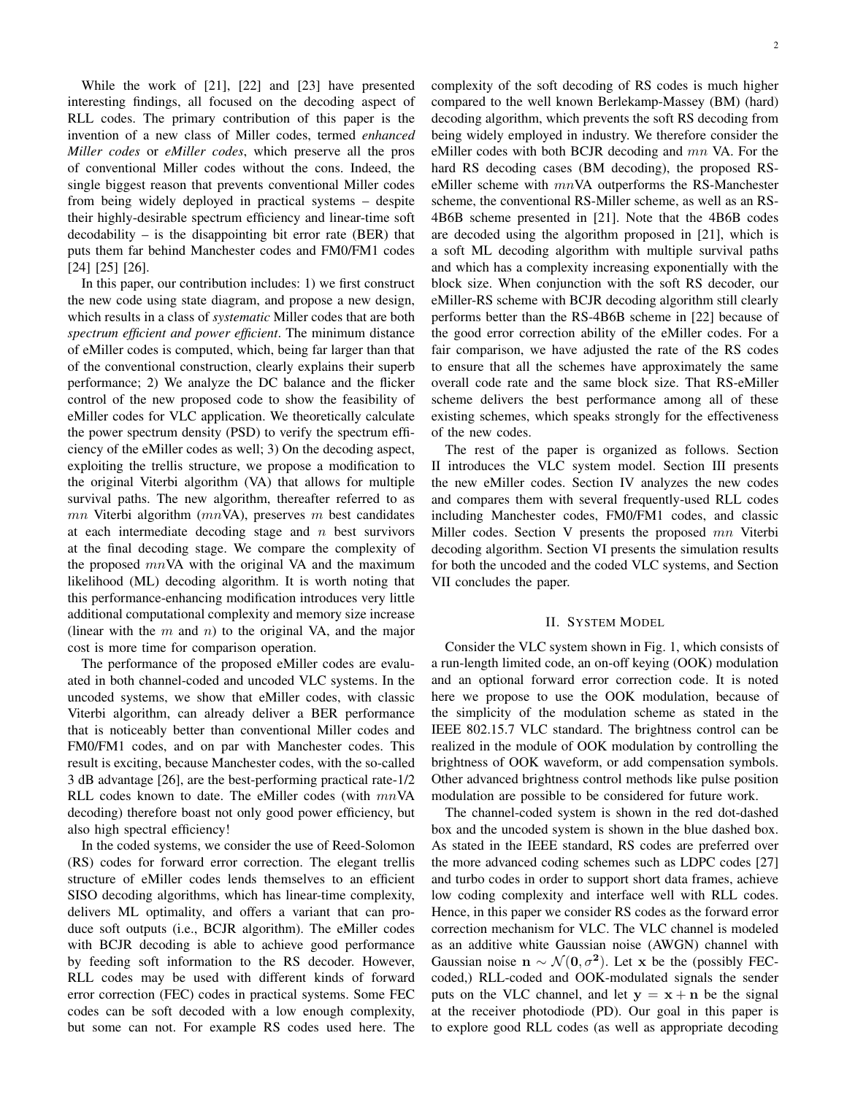While the work of [21], [22] and [23] have presented interesting findings, all focused on the decoding aspect of RLL codes. The primary contribution of this paper is the invention of a new class of Miller codes, termed *enhanced Miller codes* or *eMiller codes*, which preserve all the pros of conventional Miller codes without the cons. Indeed, the single biggest reason that prevents conventional Miller codes from being widely deployed in practical systems – despite their highly-desirable spectrum efficiency and linear-time soft decodability – is the disappointing bit error rate (BER) that puts them far behind Manchester codes and FM0/FM1 codes [24] [25] [26].

In this paper, our contribution includes: 1) we first construct the new code using state diagram, and propose a new design, which results in a class of *systematic* Miller codes that are both *spectrum efficient and power efficient*. The minimum distance of eMiller codes is computed, which, being far larger than that of the conventional construction, clearly explains their superb performance; 2) We analyze the DC balance and the flicker control of the new proposed code to show the feasibility of eMiller codes for VLC application. We theoretically calculate the power spectrum density (PSD) to verify the spectrum efficiency of the eMiller codes as well; 3) On the decoding aspect, exploiting the trellis structure, we propose a modification to the original Viterbi algorithm (VA) that allows for multiple survival paths. The new algorithm, thereafter referred to as  $mn$  Viterbi algorithm ( $mn$ VA), preserves  $m$  best candidates at each intermediate decoding stage and  $n$  best survivors at the final decoding stage. We compare the complexity of the proposed  $mnVA$  with the original VA and the maximum likelihood (ML) decoding algorithm. It is worth noting that this performance-enhancing modification introduces very little additional computational complexity and memory size increase (linear with the  $m$  and  $n$ ) to the original VA, and the major cost is more time for comparison operation.

The performance of the proposed eMiller codes are evaluated in both channel-coded and uncoded VLC systems. In the uncoded systems, we show that eMiller codes, with classic Viterbi algorithm, can already deliver a BER performance that is noticeably better than conventional Miller codes and FM0/FM1 codes, and on par with Manchester codes. This result is exciting, because Manchester codes, with the so-called 3 dB advantage [26], are the best-performing practical rate-1/2 RLL codes known to date. The eMiller codes (with mnVA decoding) therefore boast not only good power efficiency, but also high spectral efficiency!

In the coded systems, we consider the use of Reed-Solomon (RS) codes for forward error correction. The elegant trellis structure of eMiller codes lends themselves to an efficient SISO decoding algorithms, which has linear-time complexity, delivers ML optimality, and offers a variant that can produce soft outputs (i.e., BCJR algorithm). The eMiller codes with BCJR decoding is able to achieve good performance by feeding soft information to the RS decoder. However, RLL codes may be used with different kinds of forward error correction (FEC) codes in practical systems. Some FEC codes can be soft decoded with a low enough complexity, but some can not. For example RS codes used here. The complexity of the soft decoding of RS codes is much higher compared to the well known Berlekamp-Massey (BM) (hard) decoding algorithm, which prevents the soft RS decoding from being widely employed in industry. We therefore consider the eMiller codes with both BCJR decoding and  $mn$  VA. For the hard RS decoding cases (BM decoding), the proposed RSeMiller scheme with  $mnVA$  outperforms the RS-Manchester scheme, the conventional RS-Miller scheme, as well as an RS-4B6B scheme presented in [21]. Note that the 4B6B codes are decoded using the algorithm proposed in [21], which is a soft ML decoding algorithm with multiple survival paths and which has a complexity increasing exponentially with the block size. When conjunction with the soft RS decoder, our eMiller-RS scheme with BCJR decoding algorithm still clearly performs better than the RS-4B6B scheme in [22] because of the good error correction ability of the eMiller codes. For a fair comparison, we have adjusted the rate of the RS codes to ensure that all the schemes have approximately the same overall code rate and the same block size. That RS-eMiller scheme delivers the best performance among all of these existing schemes, which speaks strongly for the effectiveness of the new codes.

The rest of the paper is organized as follows. Section II introduces the VLC system model. Section III presents the new eMiller codes. Section IV analyzes the new codes and compares them with several frequently-used RLL codes including Manchester codes, FM0/FM1 codes, and classic Miller codes. Section V presents the proposed mn Viterbi decoding algorithm. Section VI presents the simulation results for both the uncoded and the coded VLC systems, and Section VII concludes the paper.

#### II. SYSTEM MODEL

Consider the VLC system shown in Fig. 1, which consists of a run-length limited code, an on-off keying (OOK) modulation and an optional forward error correction code. It is noted here we propose to use the OOK modulation, because of the simplicity of the modulation scheme as stated in the IEEE 802.15.7 VLC standard. The brightness control can be realized in the module of OOK modulation by controlling the brightness of OOK waveform, or add compensation symbols. Other advanced brightness control methods like pulse position modulation are possible to be considered for future work.

The channel-coded system is shown in the red dot-dashed box and the uncoded system is shown in the blue dashed box. As stated in the IEEE standard, RS codes are preferred over the more advanced coding schemes such as LDPC codes [27] and turbo codes in order to support short data frames, achieve low coding complexity and interface well with RLL codes. Hence, in this paper we consider RS codes as the forward error correction mechanism for VLC. The VLC channel is modeled as an additive white Gaussian noise (AWGN) channel with Gaussian noise  $\mathbf{n} \sim \mathcal{N}(\mathbf{0}, \sigma^2)$ . Let x be the (possibly FECcoded,) RLL-coded and OOK-modulated signals the sender puts on the VLC channel, and let  $y = x + n$  be the signal at the receiver photodiode (PD). Our goal in this paper is to explore good RLL codes (as well as appropriate decoding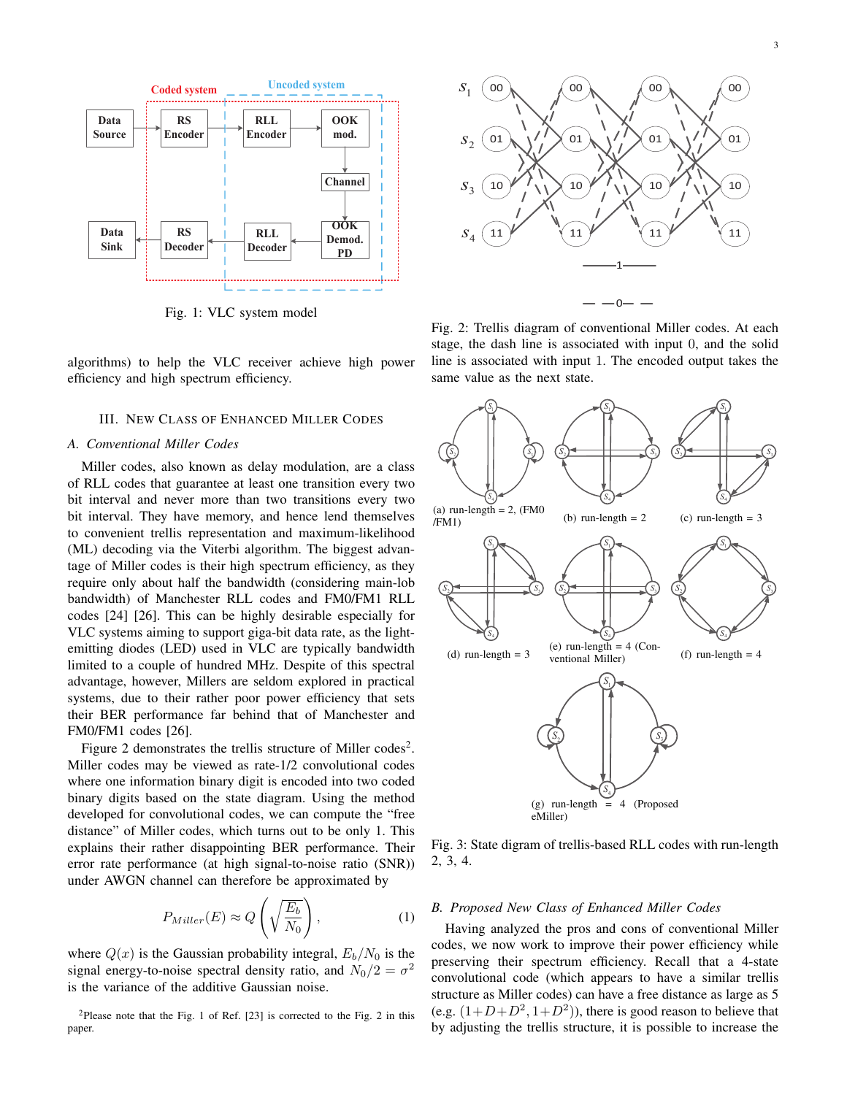

Fig. 1: VLC system model

algorithms) to help the VLC receiver achieve high power efficiency and high spectrum efficiency.

#### III. NEW CLASS OF ENHANCED MILLER CODES

# *A. Conventional Miller Codes*

Miller codes, also known as delay modulation, are a class of RLL codes that guarantee at least one transition every two bit interval and never more than two transitions every two bit interval. They have memory, and hence lend themselves to convenient trellis representation and maximum-likelihood (ML) decoding via the Viterbi algorithm. The biggest advantage of Miller codes is their high spectrum efficiency, as they require only about half the bandwidth (considering main-lob bandwidth) of Manchester RLL codes and FM0/FM1 RLL codes [24] [26]. This can be highly desirable especially for VLC systems aiming to support giga-bit data rate, as the lightemitting diodes (LED) used in VLC are typically bandwidth limited to a couple of hundred MHz. Despite of this spectral advantage, however, Millers are seldom explored in practical systems, due to their rather poor power efficiency that sets their BER performance far behind that of Manchester and FM0/FM1 codes [26].

Figure 2 demonstrates the trellis structure of Miller codes<sup>2</sup>. Miller codes may be viewed as rate-1/2 convolutional codes where one information binary digit is encoded into two coded binary digits based on the state diagram. Using the method developed for convolutional codes, we can compute the "free distance" of Miller codes, which turns out to be only 1. This explains their rather disappointing BER performance. Their error rate performance (at high signal-to-noise ratio (SNR)) under AWGN channel can therefore be approximated by

$$
P_{Miller}(E) \approx Q\left(\sqrt{\frac{E_b}{N_0}}\right),\tag{1}
$$

where  $Q(x)$  is the Gaussian probability integral,  $E_b/N_0$  is the signal energy-to-noise spectral density ratio, and  $N_0/2 = \sigma^2$ is the variance of the additive Gaussian noise.

<sup>2</sup>Please note that the Fig. 1 of Ref. [23] is corrected to the Fig. 2 in this paper.



Fig. 2: Trellis diagram of conventional Miller codes. At each stage, the dash line is associated with input 0, and the solid line is associated with input 1. The encoded output takes the same value as the next state.



Fig. 3: State digram of trellis-based RLL codes with run-length 2, 3, 4.

#### *B. Proposed New Class of Enhanced Miller Codes*

Having analyzed the pros and cons of conventional Miller codes, we now work to improve their power efficiency while preserving their spectrum efficiency. Recall that a 4-state convolutional code (which appears to have a similar trellis structure as Miller codes) can have a free distance as large as 5 (e.g.  $(1+D+D^2, 1+D^2)$ ), there is good reason to believe that by adjusting the trellis structure, it is possible to increase the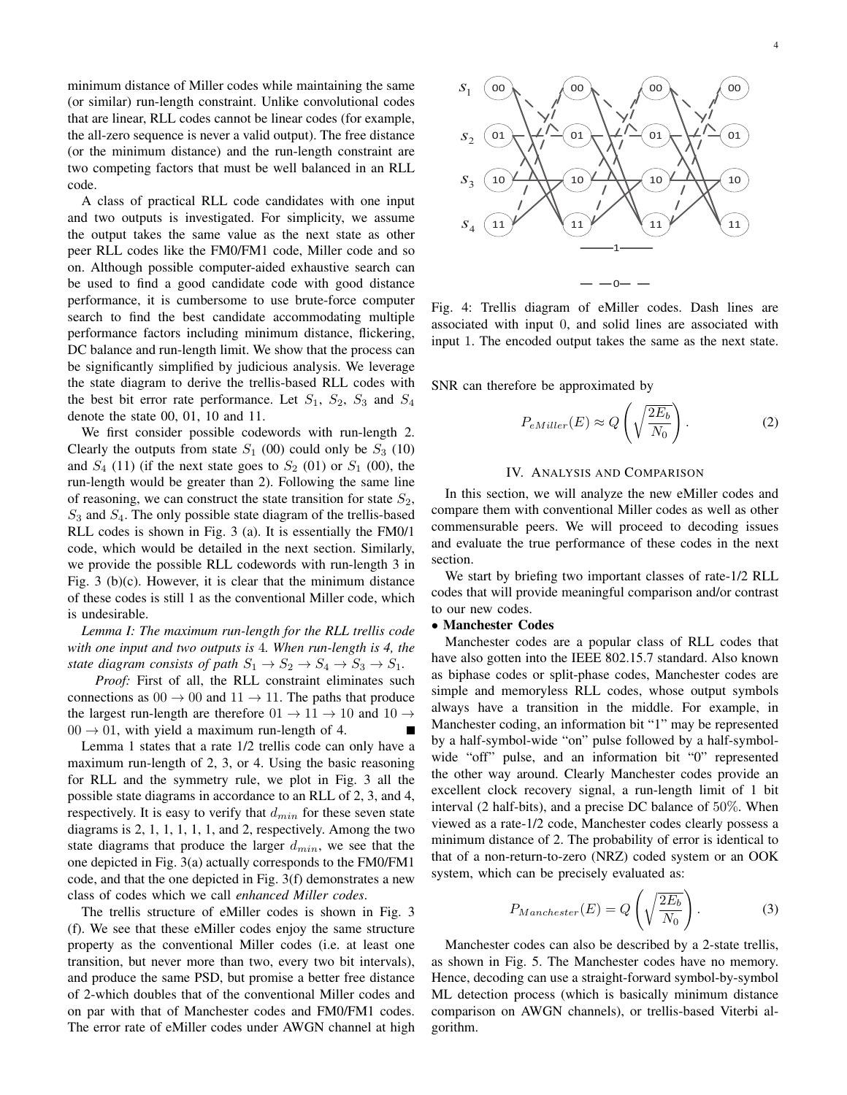minimum distance of Miller codes while maintaining the same (or similar) run-length constraint. Unlike convolutional codes that are linear, RLL codes cannot be linear codes (for example, the all-zero sequence is never a valid output). The free distance (or the minimum distance) and the run-length constraint are two competing factors that must be well balanced in an RLL code.

A class of practical RLL code candidates with one input and two outputs is investigated. For simplicity, we assume the output takes the same value as the next state as other peer RLL codes like the FM0/FM1 code, Miller code and so on. Although possible computer-aided exhaustive search can be used to find a good candidate code with good distance performance, it is cumbersome to use brute-force computer search to find the best candidate accommodating multiple performance factors including minimum distance, flickering, DC balance and run-length limit. We show that the process can be significantly simplified by judicious analysis. We leverage the state diagram to derive the trellis-based RLL codes with the best bit error rate performance. Let  $S_1$ ,  $S_2$ ,  $S_3$  and  $S_4$ denote the state 00, 01, 10 and 11.

We first consider possible codewords with run-length 2. Clearly the outputs from state  $S_1$  (00) could only be  $S_3$  (10) and  $S_4$  (11) (if the next state goes to  $S_2$  (01) or  $S_1$  (00), the run-length would be greater than 2). Following the same line of reasoning, we can construct the state transition for state  $S_2$ ,  $S_3$  and  $S_4$ . The only possible state diagram of the trellis-based RLL codes is shown in Fig. 3 (a). It is essentially the FM0/1 code, which would be detailed in the next section. Similarly, we provide the possible RLL codewords with run-length 3 in Fig.  $3$  (b)(c). However, it is clear that the minimum distance of these codes is still 1 as the conventional Miller code, which is undesirable.

*Lemma I: The maximum run-length for the RLL trellis code with one input and two outputs is* 4*. When run-length is 4, the state diagram consists of path*  $S_1 \rightarrow S_2 \rightarrow S_4 \rightarrow S_3 \rightarrow S_1$ .

*Proof:* First of all, the RLL constraint eliminates such connections as  $00 \rightarrow 00$  and  $11 \rightarrow 11$ . The paths that produce the largest run-length are therefore  $01 \rightarrow 11 \rightarrow 10$  and  $10 \rightarrow$  $00 \rightarrow 01$ , with yield a maximum run-length of 4.

Lemma 1 states that a rate 1/2 trellis code can only have a maximum run-length of 2, 3, or 4. Using the basic reasoning for RLL and the symmetry rule, we plot in Fig. 3 all the possible state diagrams in accordance to an RLL of 2, 3, and 4, respectively. It is easy to verify that  $d_{min}$  for these seven state diagrams is 2, 1, 1, 1, 1, 1, and 2, respectively. Among the two state diagrams that produce the larger  $d_{min}$ , we see that the one depicted in Fig. 3(a) actually corresponds to the FM0/FM1 code, and that the one depicted in Fig. 3(f) demonstrates a new class of codes which we call *enhanced Miller codes*.

The trellis structure of eMiller codes is shown in Fig. 3 (f). We see that these eMiller codes enjoy the same structure property as the conventional Miller codes (i.e. at least one transition, but never more than two, every two bit intervals), and produce the same PSD, but promise a better free distance of 2-which doubles that of the conventional Miller codes and on par with that of Manchester codes and FM0/FM1 codes. The error rate of eMiller codes under AWGN channel at high



Fig. 4: Trellis diagram of eMiller codes. Dash lines are associated with input 0, and solid lines are associated with input 1. The encoded output takes the same as the next state.

SNR can therefore be approximated by

$$
P_{eMiller}(E) \approx Q\left(\sqrt{\frac{2E_b}{N_0}}\right). \tag{2}
$$

#### IV. ANALYSIS AND COMPARISON

In this section, we will analyze the new eMiller codes and compare them with conventional Miller codes as well as other commensurable peers. We will proceed to decoding issues and evaluate the true performance of these codes in the next section.

We start by briefing two important classes of rate-1/2 RLL codes that will provide meaningful comparison and/or contrast to our new codes.

# • Manchester Codes

Manchester codes are a popular class of RLL codes that have also gotten into the IEEE 802.15.7 standard. Also known as biphase codes or split-phase codes, Manchester codes are simple and memoryless RLL codes, whose output symbols always have a transition in the middle. For example, in Manchester coding, an information bit "1" may be represented by a half-symbol-wide "on" pulse followed by a half-symbolwide "off" pulse, and an information bit "0" represented the other way around. Clearly Manchester codes provide an excellent clock recovery signal, a run-length limit of 1 bit interval (2 half-bits), and a precise DC balance of 50%. When viewed as a rate-1/2 code, Manchester codes clearly possess a minimum distance of 2. The probability of error is identical to that of a non-return-to-zero (NRZ) coded system or an OOK system, which can be precisely evaluated as:

$$
P_{Manchester}(E) = Q\left(\sqrt{\frac{2E_b}{N_0}}\right). \tag{3}
$$

Manchester codes can also be described by a 2-state trellis, as shown in Fig. 5. The Manchester codes have no memory. Hence, decoding can use a straight-forward symbol-by-symbol ML detection process (which is basically minimum distance comparison on AWGN channels), or trellis-based Viterbi algorithm.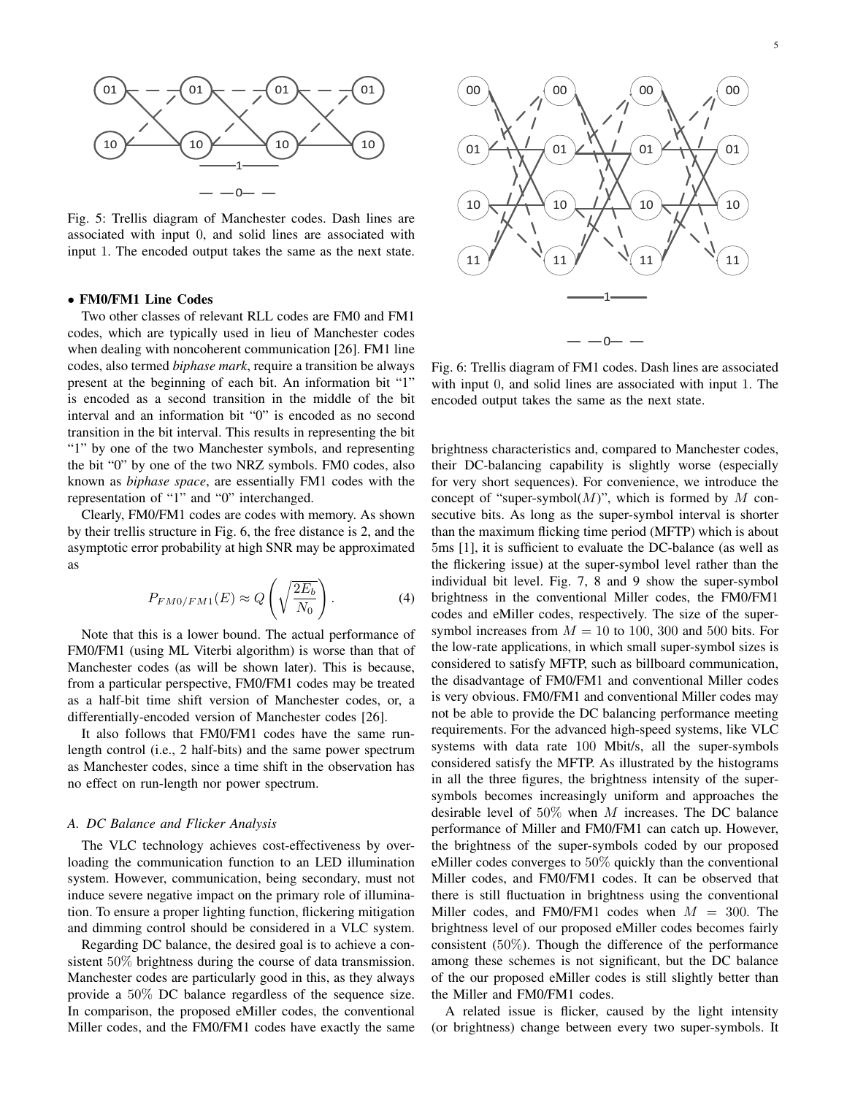

Fig. 5: Trellis diagram of Manchester codes. Dash lines are associated with input 0, and solid lines are associated with input 1. The encoded output takes the same as the next state.

# • FM0/FM1 Line Codes

Two other classes of relevant RLL codes are FM0 and FM1 codes, which are typically used in lieu of Manchester codes when dealing with noncoherent communication [26]. FM1 line codes, also termed *biphase mark*, require a transition be always present at the beginning of each bit. An information bit "1" is encoded as a second transition in the middle of the bit interval and an information bit "0" is encoded as no second transition in the bit interval. This results in representing the bit "1" by one of the two Manchester symbols, and representing the bit "0" by one of the two NRZ symbols. FM0 codes, also known as *biphase space*, are essentially FM1 codes with the representation of "1" and "0" interchanged.

Clearly, FM0/FM1 codes are codes with memory. As shown by their trellis structure in Fig. 6, the free distance is 2, and the asymptotic error probability at high SNR may be approximated as

$$
P_{FM0/FM1}(E) \approx Q\left(\sqrt{\frac{2E_b}{N_0}}\right). \tag{4}
$$

Note that this is a lower bound. The actual performance of FM0/FM1 (using ML Viterbi algorithm) is worse than that of Manchester codes (as will be shown later). This is because, from a particular perspective, FM0/FM1 codes may be treated as a half-bit time shift version of Manchester codes, or, a differentially-encoded version of Manchester codes [26].

It also follows that FM0/FM1 codes have the same runlength control (i.e., 2 half-bits) and the same power spectrum as Manchester codes, since a time shift in the observation has no effect on run-length nor power spectrum.

#### *A. DC Balance and Flicker Analysis*

The VLC technology achieves cost-effectiveness by overloading the communication function to an LED illumination system. However, communication, being secondary, must not induce severe negative impact on the primary role of illumination. To ensure a proper lighting function, flickering mitigation and dimming control should be considered in a VLC system.

Regarding DC balance, the desired goal is to achieve a consistent 50% brightness during the course of data transmission. Manchester codes are particularly good in this, as they always provide a 50% DC balance regardless of the sequence size. In comparison, the proposed eMiller codes, the conventional Miller codes, and the FM0/FM1 codes have exactly the same



Fig. 6: Trellis diagram of FM1 codes. Dash lines are associated with input 0, and solid lines are associated with input 1. The encoded output takes the same as the next state.

brightness characteristics and, compared to Manchester codes, their DC-balancing capability is slightly worse (especially for very short sequences). For convenience, we introduce the concept of "super-symbol $(M)$ ", which is formed by M consecutive bits. As long as the super-symbol interval is shorter than the maximum flicking time period (MFTP) which is about 5ms [1], it is sufficient to evaluate the DC-balance (as well as the flickering issue) at the super-symbol level rather than the individual bit level. Fig. 7, 8 and 9 show the super-symbol brightness in the conventional Miller codes, the FM0/FM1 codes and eMiller codes, respectively. The size of the supersymbol increases from  $M = 10$  to 100, 300 and 500 bits. For the low-rate applications, in which small super-symbol sizes is considered to satisfy MFTP, such as billboard communication, the disadvantage of FM0/FM1 and conventional Miller codes is very obvious. FM0/FM1 and conventional Miller codes may not be able to provide the DC balancing performance meeting requirements. For the advanced high-speed systems, like VLC systems with data rate 100 Mbit/s, all the super-symbols considered satisfy the MFTP. As illustrated by the histograms in all the three figures, the brightness intensity of the supersymbols becomes increasingly uniform and approaches the desirable level of  $50\%$  when M increases. The DC balance performance of Miller and FM0/FM1 can catch up. However, the brightness of the super-symbols coded by our proposed eMiller codes converges to 50% quickly than the conventional Miller codes, and FM0/FM1 codes. It can be observed that there is still fluctuation in brightness using the conventional Miller codes, and FM0/FM1 codes when  $M = 300$ . The brightness level of our proposed eMiller codes becomes fairly consistent (50%). Though the difference of the performance among these schemes is not significant, but the DC balance of the our proposed eMiller codes is still slightly better than the Miller and FM0/FM1 codes.

A related issue is flicker, caused by the light intensity (or brightness) change between every two super-symbols. It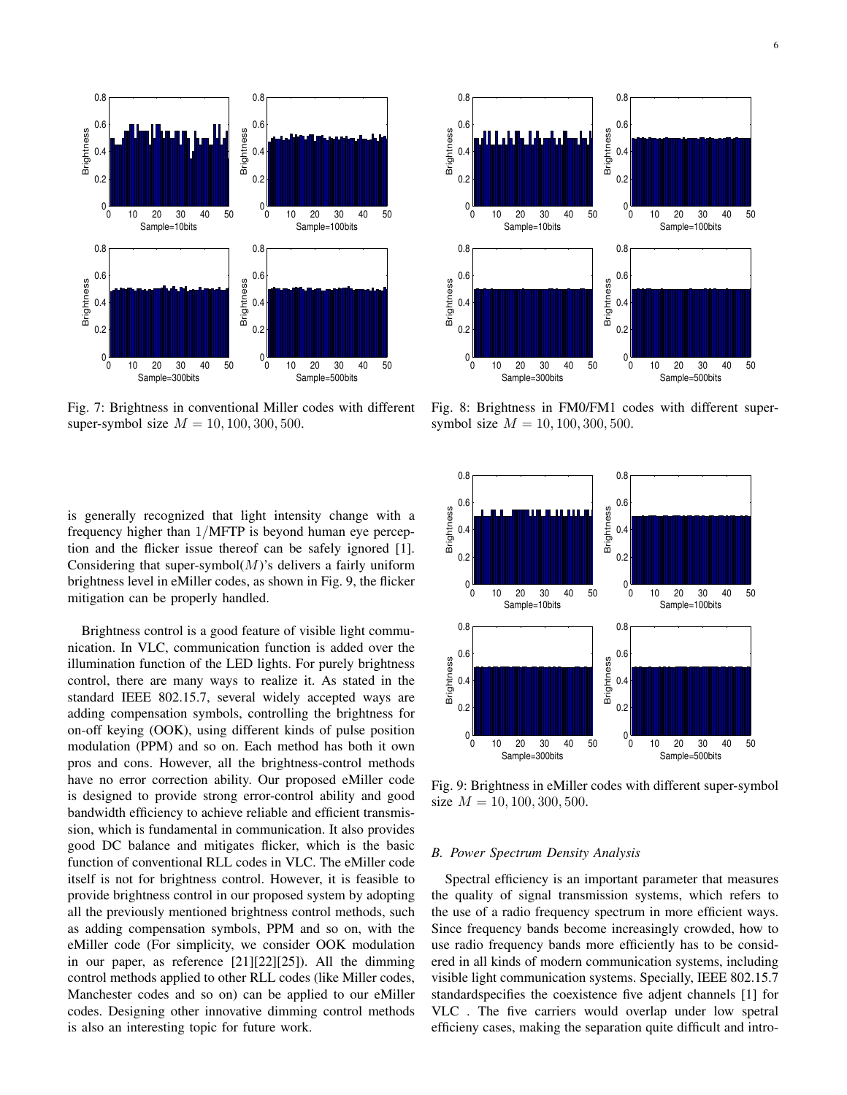

Fig. 7: Brightness in conventional Miller codes with different super-symbol size  $M = 10, 100, 300, 500$ .



Fig. 8: Brightness in FM0/FM1 codes with different supersymbol size  $M = 10, 100, 300, 500$ .

is generally recognized that light intensity change with a frequency higher than 1/MFTP is beyond human eye perception and the flicker issue thereof can be safely ignored [1]. Considering that super-symbol $(M)$ 's delivers a fairly uniform brightness level in eMiller codes, as shown in Fig. 9, the flicker mitigation can be properly handled.

Brightness control is a good feature of visible light communication. In VLC, communication function is added over the illumination function of the LED lights. For purely brightness control, there are many ways to realize it. As stated in the standard IEEE 802.15.7, several widely accepted ways are adding compensation symbols, controlling the brightness for on-off keying (OOK), using different kinds of pulse position modulation (PPM) and so on. Each method has both it own pros and cons. However, all the brightness-control methods have no error correction ability. Our proposed eMiller code is designed to provide strong error-control ability and good bandwidth efficiency to achieve reliable and efficient transmission, which is fundamental in communication. It also provides good DC balance and mitigates flicker, which is the basic function of conventional RLL codes in VLC. The eMiller code itself is not for brightness control. However, it is feasible to provide brightness control in our proposed system by adopting all the previously mentioned brightness control methods, such as adding compensation symbols, PPM and so on, with the eMiller code (For simplicity, we consider OOK modulation in our paper, as reference [21][22][25]). All the dimming control methods applied to other RLL codes (like Miller codes, Manchester codes and so on) can be applied to our eMiller codes. Designing other innovative dimming control methods is also an interesting topic for future work.



Fig. 9: Brightness in eMiller codes with different super-symbol size  $M = 10, 100, 300, 500$ .

#### *B. Power Spectrum Density Analysis*

Spectral efficiency is an important parameter that measures the quality of signal transmission systems, which refers to the use of a radio frequency spectrum in more efficient ways. Since frequency bands become increasingly crowded, how to use radio frequency bands more efficiently has to be considered in all kinds of modern communication systems, including visible light communication systems. Specially, IEEE 802.15.7 standardspecifies the coexistence five adjent channels [1] for VLC . The five carriers would overlap under low spetral efficieny cases, making the separation quite difficult and intro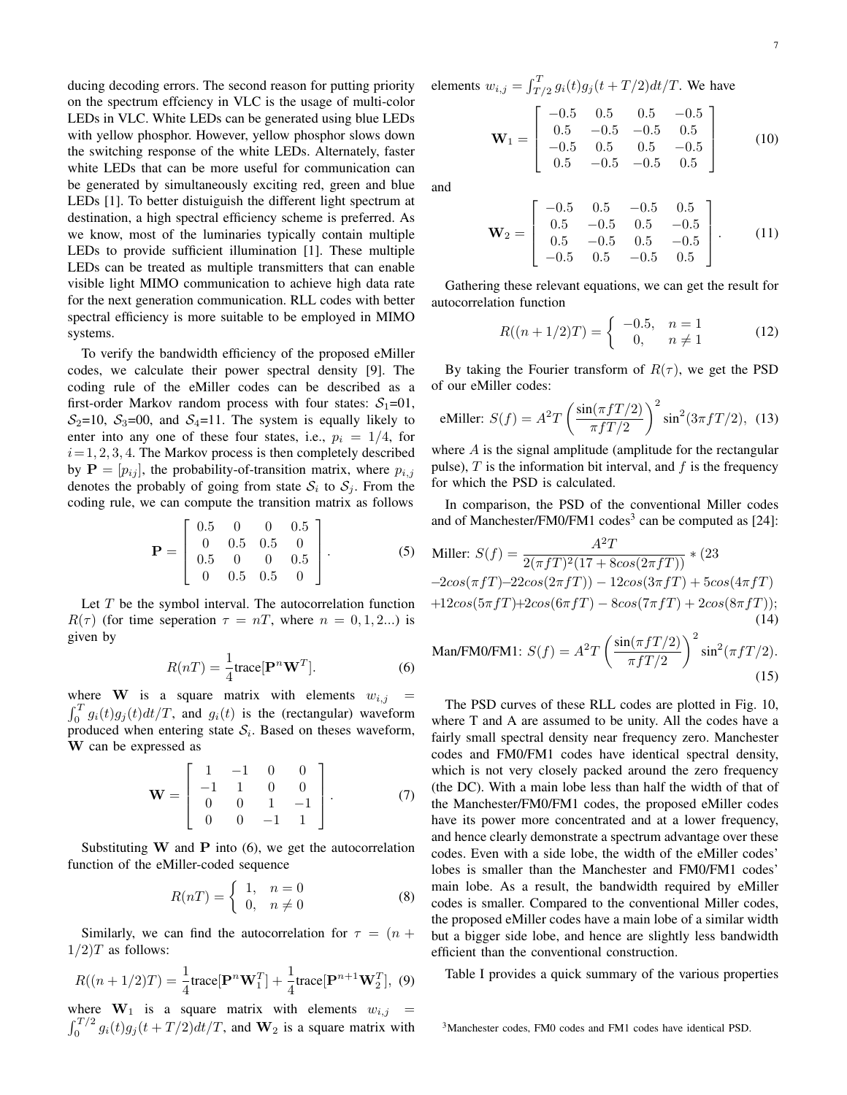ducing decoding errors. The second reason for putting priority on the spectrum effciency in VLC is the usage of multi-color LEDs in VLC. White LEDs can be generated using blue LEDs with yellow phosphor. However, yellow phosphor slows down the switching response of the white LEDs. Alternately, faster white LEDs that can be more useful for communication can be generated by simultaneously exciting red, green and blue LEDs [1]. To better distuiguish the different light spectrum at destination, a high spectral efficiency scheme is preferred. As we know, most of the luminaries typically contain multiple LEDs to provide sufficient illumination [1]. These multiple LEDs can be treated as multiple transmitters that can enable visible light MIMO communication to achieve high data rate for the next generation communication. RLL codes with better spectral efficiency is more suitable to be employed in MIMO systems.

To verify the bandwidth efficiency of the proposed eMiller codes, we calculate their power spectral density [9]. The coding rule of the eMiller codes can be described as a first-order Markov random process with four states:  $S_1=01$ ,  $S_2=10$ ,  $S_3=00$ , and  $S_4=11$ . The system is equally likely to enter into any one of these four states, i.e.,  $p_i = 1/4$ , for  $i= 1, 2, 3, 4$ . The Markov process is then completely described by  $P = [p_{ij}]$ , the probability-of-transition matrix, where  $p_{i,j}$ denotes the probably of going from state  $S_i$  to  $S_j$ . From the coding rule, we can compute the transition matrix as follows

$$
\mathbf{P} = \begin{bmatrix} 0.5 & 0 & 0 & 0.5 \\ 0 & 0.5 & 0.5 & 0 \\ 0.5 & 0 & 0 & 0.5 \\ 0 & 0.5 & 0.5 & 0 \end{bmatrix}.
$$
 (5)

Let  $T$  be the symbol interval. The autocorrelation function  $R(\tau)$  (for time seperation  $\tau = nT$ , where  $n = 0, 1, 2...$ ) is given by

$$
R(nT) = \frac{1}{4} \text{trace}[\mathbf{P}^n \mathbf{W}^T].
$$
 (6)

where W is a square matrix with elements  $w_{i,j}$  =  $\int_0^T g_i(t)g_j(t)dt/T$ , and  $g_i(t)$  is the (rectangular) waveform produced when entering state  $S_i$ . Based on theses waveform, W can be expressed as

$$
\mathbf{W} = \left[ \begin{array}{cccc} 1 & -1 & 0 & 0 \\ -1 & 1 & 0 & 0 \\ 0 & 0 & 1 & -1 \\ 0 & 0 & -1 & 1 \end{array} \right].
$$
 (7)

Substituting  $W$  and  $P$  into (6), we get the autocorrelation function of the eMiller-coded sequence

$$
R(nT) = \begin{cases} 1, & n = 0 \\ 0, & n \neq 0 \end{cases} \tag{8}
$$

Similarly, we can find the autocorrelation for  $\tau = (n +$  $1/2$ )T as follows:

$$
R((n+1/2)T) = \frac{1}{4}\text{trace}[\mathbf{P}^n\mathbf{W}_1^T] + \frac{1}{4}\text{trace}[\mathbf{P}^{n+1}\mathbf{W}_2^T], \tag{9}
$$

where  $W_1$  is a square matrix with elements  $w_{i,j}$  =  $\int_0^{T/2} g_i(t)g_j(t+T/2)dt/T$ , and  $\mathbf{W}_2$  is a square matrix with

elements 
$$
w_{i,j} = \int_{T/2}^{T} g_i(t)g_j(t+T/2)dt/T
$$
. We have  
\n
$$
\mathbf{W}_1 = \begin{bmatrix}\n-0.5 & 0.5 & 0.5 & -0.5 \\
0.5 & -0.5 & -0.5 & 0.5 \\
-0.5 & 0.5 & 0.5 & -0.5 \\
0.5 & -0.5 & -0.5 & 0.5\n\end{bmatrix}
$$

 $\overline{\phantom{a}}$ 

and

$$
\mathbf{W}_2 = \begin{bmatrix} -0.5 & 0.5 & -0.5 & 0.5 \\ 0.5 & -0.5 & 0.5 & -0.5 \\ 0.5 & -0.5 & 0.5 & -0.5 \\ -0.5 & 0.5 & -0.5 & 0.5 \end{bmatrix}.
$$
 (11)

 $-0.5$ 

 $\overline{1}$ 

Gathering these relevant equations, we can get the result for autocorrelation function

$$
R((n+1/2)T) = \begin{cases} -0.5, & n = 1\\ 0, & n \neq 1 \end{cases}
$$
 (12)

By taking the Fourier transform of  $R(\tau)$ , we get the PSD of our eMiller codes:

eMiller: 
$$
S(f) = A^2 T \left( \frac{\sin(\pi f T/2)}{\pi f T/2} \right)^2 \sin^2(3\pi f T/2)
$$
, (13)

where A is the signal amplitude (amplitude for the rectangular pulse),  $T$  is the information bit interval, and  $f$  is the frequency for which the PSD is calculated.

In comparison, the PSD of the conventional Miller codes and of Manchester/FM0/FM1 codes<sup>3</sup> can be computed as [24]:

Miller: 
$$
S(f) = \frac{A^2 T}{2(\pi f T)^2 (17 + 8\cos(2\pi f T))} * (23
$$

$$
-2\cos(\pi f T) - 22\cos(2\pi f T)) - 12\cos(3\pi f T) + 5\cos(4\pi f T)
$$

$$
+12\cos(5\pi f T) + 2\cos(6\pi f T) - 8\cos(7\pi f T) + 2\cos(8\pi f T));
$$
(14)

$$
\text{Man/FM0/FM1: } S(f) = A^2 T \left( \frac{\sin(\pi f T/2)}{\pi f T/2} \right)^2 \sin^2(\pi f T/2). \tag{15}
$$

The PSD curves of these RLL codes are plotted in Fig. 10, where T and A are assumed to be unity. All the codes have a fairly small spectral density near frequency zero. Manchester codes and FM0/FM1 codes have identical spectral density, which is not very closely packed around the zero frequency (the DC). With a main lobe less than half the width of that of the Manchester/FM0/FM1 codes, the proposed eMiller codes have its power more concentrated and at a lower frequency, and hence clearly demonstrate a spectrum advantage over these codes. Even with a side lobe, the width of the eMiller codes' lobes is smaller than the Manchester and FM0/FM1 codes' main lobe. As a result, the bandwidth required by eMiller codes is smaller. Compared to the conventional Miller codes, the proposed eMiller codes have a main lobe of a similar width but a bigger side lobe, and hence are slightly less bandwidth efficient than the conventional construction.

Table I provides a quick summary of the various properties

<sup>3</sup>Manchester codes, FM0 codes and FM1 codes have identical PSD.

(10)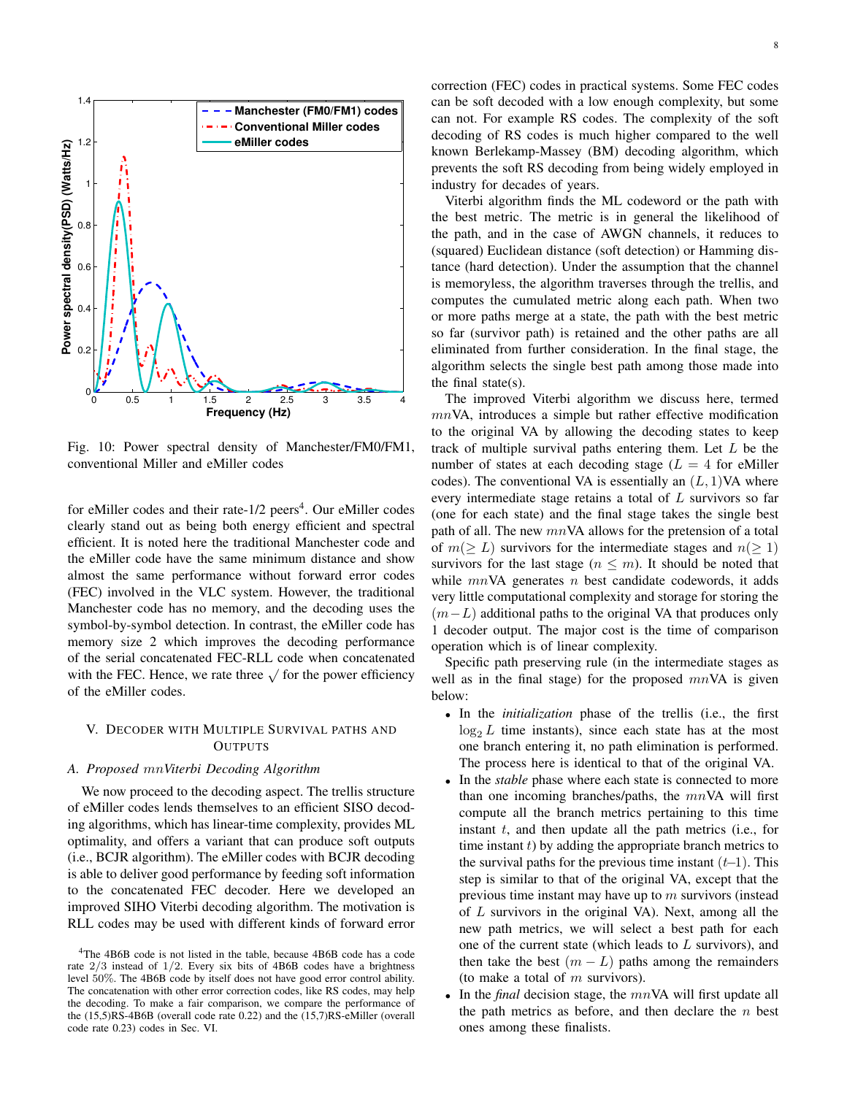

Fig. 10: Power spectral density of Manchester/FM0/FM1, conventional Miller and eMiller codes

for eMiller codes and their rate-1/2 peers<sup>4</sup>. Our eMiller codes clearly stand out as being both energy efficient and spectral efficient. It is noted here the traditional Manchester code and the eMiller code have the same minimum distance and show almost the same performance without forward error codes (FEC) involved in the VLC system. However, the traditional Manchester code has no memory, and the decoding uses the symbol-by-symbol detection. In contrast, the eMiller code has memory size 2 which improves the decoding performance of the serial concatenated FEC-RLL code when concatenated with the FEC. Hence, we rate three  $\sqrt{}$  for the power efficiency of the eMiller codes.

# V. DECODER WITH MULTIPLE SURVIVAL PATHS AND **OUTPUTS**

# *A. Proposed* mn*Viterbi Decoding Algorithm*

We now proceed to the decoding aspect. The trellis structure of eMiller codes lends themselves to an efficient SISO decoding algorithms, which has linear-time complexity, provides ML optimality, and offers a variant that can produce soft outputs (i.e., BCJR algorithm). The eMiller codes with BCJR decoding is able to deliver good performance by feeding soft information to the concatenated FEC decoder. Here we developed an improved SIHO Viterbi decoding algorithm. The motivation is RLL codes may be used with different kinds of forward error correction (FEC) codes in practical systems. Some FEC codes can be soft decoded with a low enough complexity, but some can not. For example RS codes. The complexity of the soft decoding of RS codes is much higher compared to the well known Berlekamp-Massey (BM) decoding algorithm, which prevents the soft RS decoding from being widely employed in industry for decades of years.

Viterbi algorithm finds the ML codeword or the path with the best metric. The metric is in general the likelihood of the path, and in the case of AWGN channels, it reduces to (squared) Euclidean distance (soft detection) or Hamming distance (hard detection). Under the assumption that the channel is memoryless, the algorithm traverses through the trellis, and computes the cumulated metric along each path. When two or more paths merge at a state, the path with the best metric so far (survivor path) is retained and the other paths are all eliminated from further consideration. In the final stage, the algorithm selects the single best path among those made into the final state(s).

The improved Viterbi algorithm we discuss here, termed  $mnVA$ , introduces a simple but rather effective modification to the original VA by allowing the decoding states to keep track of multiple survival paths entering them. Let  $L$  be the number of states at each decoding stage ( $L = 4$  for eMiller codes). The conventional VA is essentially an  $(L, 1)$ VA where every intermediate stage retains a total of  $L$  survivors so far (one for each state) and the final stage takes the single best path of all. The new  $mnVA$  allows for the pretension of a total of  $m(\geq L)$  survivors for the intermediate stages and  $n(\geq 1)$ survivors for the last stage ( $n \leq m$ ). It should be noted that while  $mnVA$  generates n best candidate codewords, it adds very little computational complexity and storage for storing the  $(m-L)$  additional paths to the original VA that produces only 1 decoder output. The major cost is the time of comparison operation which is of linear complexity.

Specific path preserving rule (in the intermediate stages as well as in the final stage) for the proposed  $mnVA$  is given below:

- In the *initialization* phase of the trellis (i.e., the first  $\log_2 L$  time instants), since each state has at the most one branch entering it, no path elimination is performed. The process here is identical to that of the original VA.
- In the *stable* phase where each state is connected to more than one incoming branches/paths, the  $mnVA$  will first compute all the branch metrics pertaining to this time instant  $t$ , and then update all the path metrics (i.e., for time instant  $t$ ) by adding the appropriate branch metrics to the survival paths for the previous time instant  $(t-1)$ . This step is similar to that of the original VA, except that the previous time instant may have up to  $m$  survivors (instead of L survivors in the original VA). Next, among all the new path metrics, we will select a best path for each one of the current state (which leads to  $L$  survivors), and then take the best  $(m - L)$  paths among the remainders (to make a total of  $m$  survivors).
- In the *final* decision stage, the mnVA will first update all the path metrics as before, and then declare the  $n$  best ones among these finalists.

<sup>4</sup>The 4B6B code is not listed in the table, because 4B6B code has a code rate  $2/3$  instead of  $1/2$ . Every six bits of 4B6B codes have a brightness level 50%. The 4B6B code by itself does not have good error control ability. The concatenation with other error correction codes, like RS codes, may help the decoding. To make a fair comparison, we compare the performance of the (15,5)RS-4B6B (overall code rate 0.22) and the (15,7)RS-eMiller (overall code rate 0.23) codes in Sec. VI.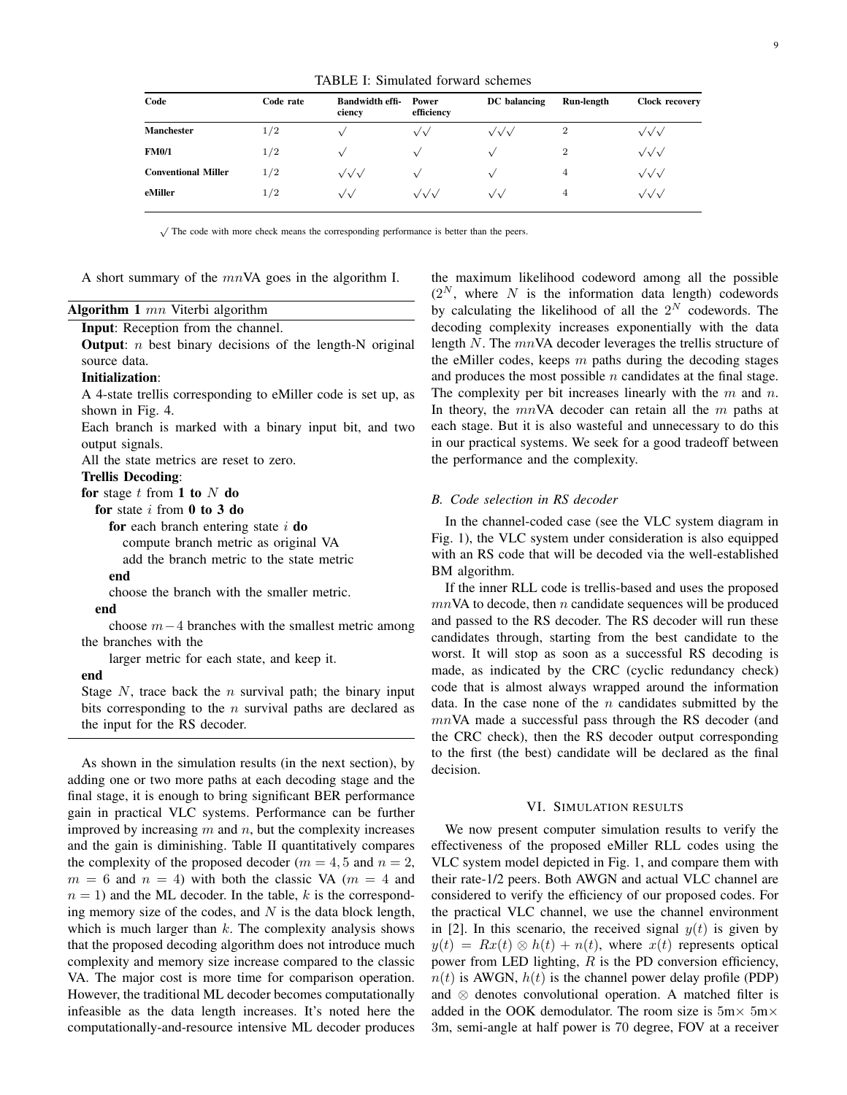| Code                       | Code rate | <b>Bandwidth effi-</b><br>ciency | Power<br>efficiency | DC balancing     | Run-length     | Clock recovery   |
|----------------------------|-----------|----------------------------------|---------------------|------------------|----------------|------------------|
| <b>Manchester</b>          | 1/2       |                                  | $\sqrt{\sqrt{2}}$   | $\sqrt{\sqrt{}}$ | $\overline{2}$ | $\sqrt{\sqrt{}}$ |
| <b>FM0/1</b>               | 1/2       |                                  |                     |                  | $\overline{2}$ | $\sqrt{\sqrt{}}$ |
| <b>Conventional Miller</b> | 1/2       | $\sqrt{\sqrt{}}$                 |                     | $\check{ }$      | $\overline{4}$ | $\sqrt{\sqrt{}}$ |
| eMiller                    | 1/2       | $\sqrt{\sqrt{}}$                 | $\sqrt{\sqrt{}}$    | $\sqrt{\sqrt{}}$ | 4              | $\sqrt{\sqrt{}}$ |

TABLE I: Simulated forward schemes

 $\sqrt{\ }$  The code with more check means the corresponding performance is better than the peers.

A short summary of the  $mnVA$  goes in the algorithm I.

# **Algorithm 1**  $mn$  Viterbi algorithm

Input: Reception from the channel.

**Output:**  $n$  best binary decisions of the length-N original source data.

#### Initialization:

A 4-state trellis corresponding to eMiller code is set up, as shown in Fig. 4.

Each branch is marked with a binary input bit, and two output signals.

All the state metrics are reset to zero.

# Trellis Decoding:

for stage  $t$  from 1 to  $N$  do

for state  $i$  from 0 to 3 do

for each branch entering state  $i$  do

compute branch metric as original VA

add the branch metric to the state metric

# end

choose the branch with the smaller metric.

#### end

choose  $m-4$  branches with the smallest metric among the branches with the

larger metric for each state, and keep it.

# end

Stage  $N$ , trace back the  $n$  survival path; the binary input bits corresponding to the  $n$  survival paths are declared as the input for the RS decoder.

As shown in the simulation results (in the next section), by adding one or two more paths at each decoding stage and the final stage, it is enough to bring significant BER performance gain in practical VLC systems. Performance can be further improved by increasing  $m$  and  $n$ , but the complexity increases and the gain is diminishing. Table II quantitatively compares the complexity of the proposed decoder ( $m = 4, 5$  and  $n = 2$ ,  $m = 6$  and  $n = 4$ ) with both the classic VA ( $m = 4$  and  $n = 1$ ) and the ML decoder. In the table, k is the corresponding memory size of the codes, and  $N$  is the data block length, which is much larger than  $k$ . The complexity analysis shows that the proposed decoding algorithm does not introduce much complexity and memory size increase compared to the classic VA. The major cost is more time for comparison operation. However, the traditional ML decoder becomes computationally infeasible as the data length increases. It's noted here the computationally-and-resource intensive ML decoder produces the maximum likelihood codeword among all the possible  $(2<sup>N</sup>$ , where N is the information data length) codewords by calculating the likelihood of all the  $2^N$  codewords. The decoding complexity increases exponentially with the data length N. The mnVA decoder leverages the trellis structure of the eMiller codes, keeps  $m$  paths during the decoding stages and produces the most possible  $n$  candidates at the final stage. The complexity per bit increases linearly with the  $m$  and  $n$ . In theory, the  $mnVA$  decoder can retain all the  $m$  paths at each stage. But it is also wasteful and unnecessary to do this in our practical systems. We seek for a good tradeoff between the performance and the complexity.

# *B. Code selection in RS decoder*

In the channel-coded case (see the VLC system diagram in Fig. 1), the VLC system under consideration is also equipped with an RS code that will be decoded via the well-established BM algorithm.

If the inner RLL code is trellis-based and uses the proposed  $mnVA$  to decode, then *n* candidate sequences will be produced and passed to the RS decoder. The RS decoder will run these candidates through, starting from the best candidate to the worst. It will stop as soon as a successful RS decoding is made, as indicated by the CRC (cyclic redundancy check) code that is almost always wrapped around the information data. In the case none of the  $n$  candidates submitted by the mnVA made a successful pass through the RS decoder (and the CRC check), then the RS decoder output corresponding to the first (the best) candidate will be declared as the final decision.

### VI. SIMULATION RESULTS

We now present computer simulation results to verify the effectiveness of the proposed eMiller RLL codes using the VLC system model depicted in Fig. 1, and compare them with their rate-1/2 peers. Both AWGN and actual VLC channel are considered to verify the efficiency of our proposed codes. For the practical VLC channel, we use the channel environment in [2]. In this scenario, the received signal  $y(t)$  is given by  $y(t) = Rx(t) \otimes h(t) + n(t)$ , where  $x(t)$  represents optical power from LED lighting,  $R$  is the PD conversion efficiency,  $n(t)$  is AWGN,  $h(t)$  is the channel power delay profile (PDP) and ⊗ denotes convolutional operation. A matched filter is added in the OOK demodulator. The room size is  $5m \times 5m \times$ 3m, semi-angle at half power is 70 degree, FOV at a receiver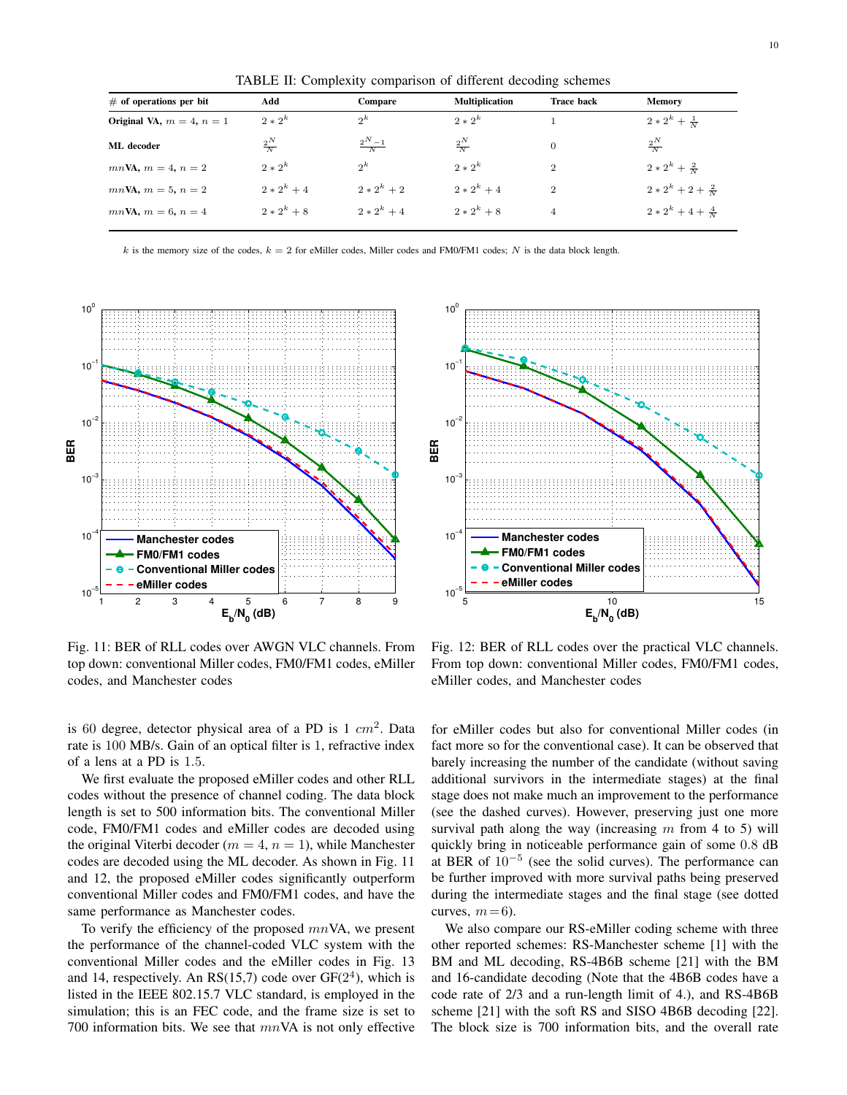| $#$ of operations per bit      | Add             | Compare           | <b>Multiplication</b> | <b>Trace back</b> | Memory                      |
|--------------------------------|-----------------|-------------------|-----------------------|-------------------|-----------------------------|
| Original VA, $m = 4$ , $n = 1$ | $2 * 2^k$       | $2^k$             | $2 * 2^k$             |                   | $2 * 2^k + \frac{1}{N}$     |
| ML decoder                     | $\frac{2^N}{N}$ | $\frac{2^N-1}{N}$ | $\frac{2^N}{N}$       | $\overline{0}$    | $\frac{2^N}{N}$             |
| $mnVA, m = 4, n = 2$           | $2 * 2^k$       | $2^k$             | $2 * 2^k$             | $\overline{2}$    | $2 * 2^k + \frac{2}{N}$     |
| $mnVA, m = 5, n = 2$           | $2 * 2^k + 4$   | $2 * 2^k + 2$     | $2 * 2^k + 4$         | 2                 | $2 * 2^k + 2 + \frac{2}{N}$ |
| $mnVA, m = 6, n = 4$           | $2 * 2^k + 8$   | $2 * 2^k + 4$     | $2 * 2^k + 8$         | 4                 | $2 * 2^k + 4 + \frac{4}{N}$ |

TABLE II: Complexity comparison of different decoding schemes

k is the memory size of the codes,  $k = 2$  for eMiller codes, Miller codes and FM0/FM1 codes; N is the data block length.





Fig. 11: BER of RLL codes over AWGN VLC channels. From top down: conventional Miller codes, FM0/FM1 codes, eMiller codes, and Manchester codes

is 60 degree, detector physical area of a PD is  $1 \, cm^2$ . Data rate is 100 MB/s. Gain of an optical filter is 1, refractive index of a lens at a PD is 1.5.

We first evaluate the proposed eMiller codes and other RLL codes without the presence of channel coding. The data block length is set to 500 information bits. The conventional Miller code, FM0/FM1 codes and eMiller codes are decoded using the original Viterbi decoder ( $m = 4$ ,  $n = 1$ ), while Manchester codes are decoded using the ML decoder. As shown in Fig. 11 and 12, the proposed eMiller codes significantly outperform conventional Miller codes and FM0/FM1 codes, and have the same performance as Manchester codes.

To verify the efficiency of the proposed  $mnVA$ , we present the performance of the channel-coded VLC system with the conventional Miller codes and the eMiller codes in Fig. 13 and 14, respectively. An RS(15,7) code over  $GF(2<sup>4</sup>)$ , which is listed in the IEEE 802.15.7 VLC standard, is employed in the simulation; this is an FEC code, and the frame size is set to 700 information bits. We see that  $mnVA$  is not only effective

Fig. 12: BER of RLL codes over the practical VLC channels. From top down: conventional Miller codes, FM0/FM1 codes, eMiller codes, and Manchester codes

for eMiller codes but also for conventional Miller codes (in fact more so for the conventional case). It can be observed that barely increasing the number of the candidate (without saving additional survivors in the intermediate stages) at the final stage does not make much an improvement to the performance (see the dashed curves). However, preserving just one more survival path along the way (increasing  $m$  from 4 to 5) will quickly bring in noticeable performance gain of some 0.8 dB at BER of  $10^{-5}$  (see the solid curves). The performance can be further improved with more survival paths being preserved during the intermediate stages and the final stage (see dotted curves,  $m = 6$ ).

We also compare our RS-eMiller coding scheme with three other reported schemes: RS-Manchester scheme [1] with the BM and ML decoding, RS-4B6B scheme [21] with the BM and 16-candidate decoding (Note that the 4B6B codes have a code rate of 2/3 and a run-length limit of 4.), and RS-4B6B scheme [21] with the soft RS and SISO 4B6B decoding [22]. The block size is 700 information bits, and the overall rate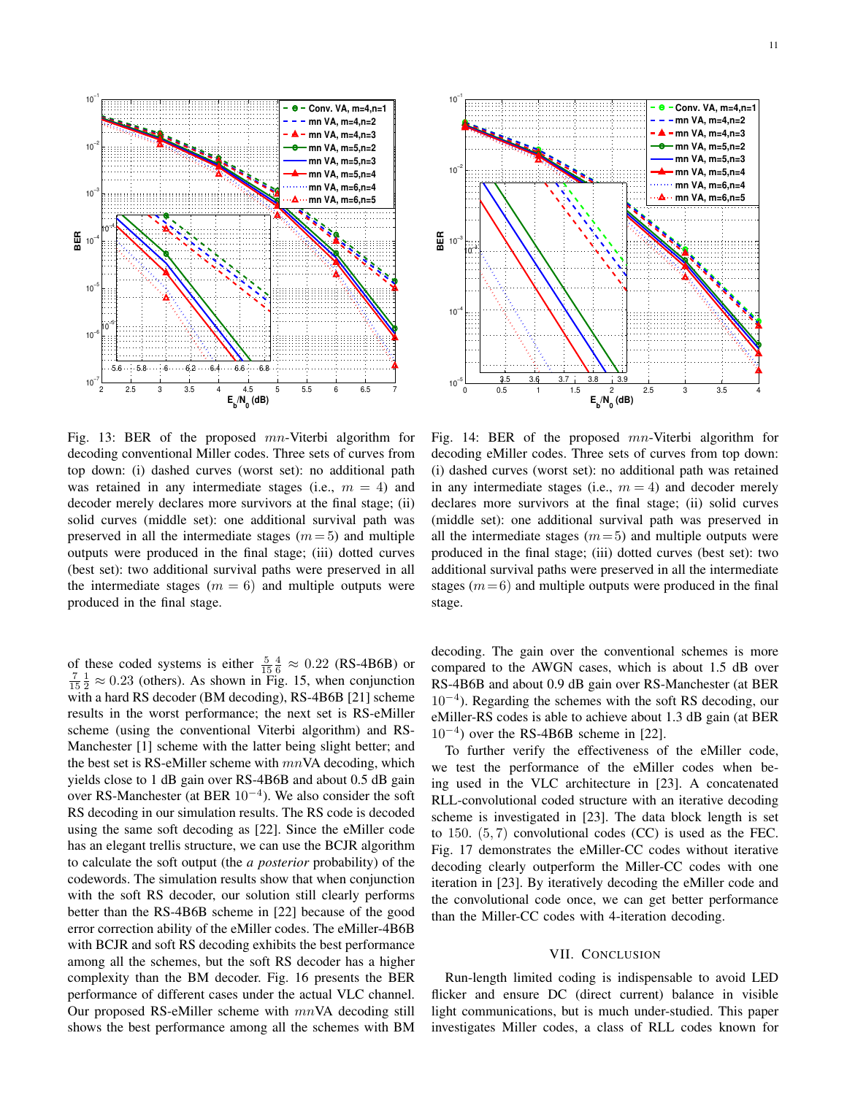

Fig. 13: BER of the proposed mn-Viterbi algorithm for decoding conventional Miller codes. Three sets of curves from top down: (i) dashed curves (worst set): no additional path was retained in any intermediate stages (i.e.,  $m = 4$ ) and decoder merely declares more survivors at the final stage; (ii) solid curves (middle set): one additional survival path was preserved in all the intermediate stages  $(m=5)$  and multiple outputs were produced in the final stage; (iii) dotted curves (best set): two additional survival paths were preserved in all the intermediate stages ( $m = 6$ ) and multiple outputs were produced in the final stage.

of these coded systems is either  $\frac{5}{15}\frac{4}{6} \approx 0.22$  (RS-4B6B) or  $\frac{7}{15}\frac{1}{2} \approx 0.23$  (others). As shown in Fig. 15, when conjunction with a hard RS decoder (BM decoding), RS-4B6B [21] scheme results in the worst performance; the next set is RS-eMiller scheme (using the conventional Viterbi algorithm) and RS-Manchester [1] scheme with the latter being slight better; and the best set is RS-eMiller scheme with  $mnVA$  decoding, which yields close to 1 dB gain over RS-4B6B and about 0.5 dB gain over RS-Manchester (at BER  $10^{-4}$ ). We also consider the soft RS decoding in our simulation results. The RS code is decoded using the same soft decoding as [22]. Since the eMiller code has an elegant trellis structure, we can use the BCJR algorithm to calculate the soft output (the *a posterior* probability) of the codewords. The simulation results show that when conjunction with the soft RS decoder, our solution still clearly performs better than the RS-4B6B scheme in [22] because of the good error correction ability of the eMiller codes. The eMiller-4B6B with BCJR and soft RS decoding exhibits the best performance among all the schemes, but the soft RS decoder has a higher complexity than the BM decoder. Fig. 16 presents the BER performance of different cases under the actual VLC channel. Our proposed RS-eMiller scheme with  $mnVA$  decoding still shows the best performance among all the schemes with BM



Fig. 14: BER of the proposed mn-Viterbi algorithm for decoding eMiller codes. Three sets of curves from top down: (i) dashed curves (worst set): no additional path was retained in any intermediate stages (i.e.,  $m = 4$ ) and decoder merely declares more survivors at the final stage; (ii) solid curves (middle set): one additional survival path was preserved in all the intermediate stages  $(m=5)$  and multiple outputs were produced in the final stage; (iii) dotted curves (best set): two additional survival paths were preserved in all the intermediate stages  $(m= 6)$  and multiple outputs were produced in the final stage.

decoding. The gain over the conventional schemes is more compared to the AWGN cases, which is about 1.5 dB over RS-4B6B and about 0.9 dB gain over RS-Manchester (at BER 10−<sup>4</sup> ). Regarding the schemes with the soft RS decoding, our eMiller-RS codes is able to achieve about 1.3 dB gain (at BER  $10^{-4}$ ) over the RS-4B6B scheme in [22].

To further verify the effectiveness of the eMiller code, we test the performance of the eMiller codes when being used in the VLC architecture in [23]. A concatenated RLL-convolutional coded structure with an iterative decoding scheme is investigated in [23]. The data block length is set to 150.  $(5, 7)$  convolutional codes  $(CC)$  is used as the FEC. Fig. 17 demonstrates the eMiller-CC codes without iterative decoding clearly outperform the Miller-CC codes with one iteration in [23]. By iteratively decoding the eMiller code and the convolutional code once, we can get better performance than the Miller-CC codes with 4-iteration decoding.

#### VII. CONCLUSION

Run-length limited coding is indispensable to avoid LED flicker and ensure DC (direct current) balance in visible light communications, but is much under-studied. This paper investigates Miller codes, a class of RLL codes known for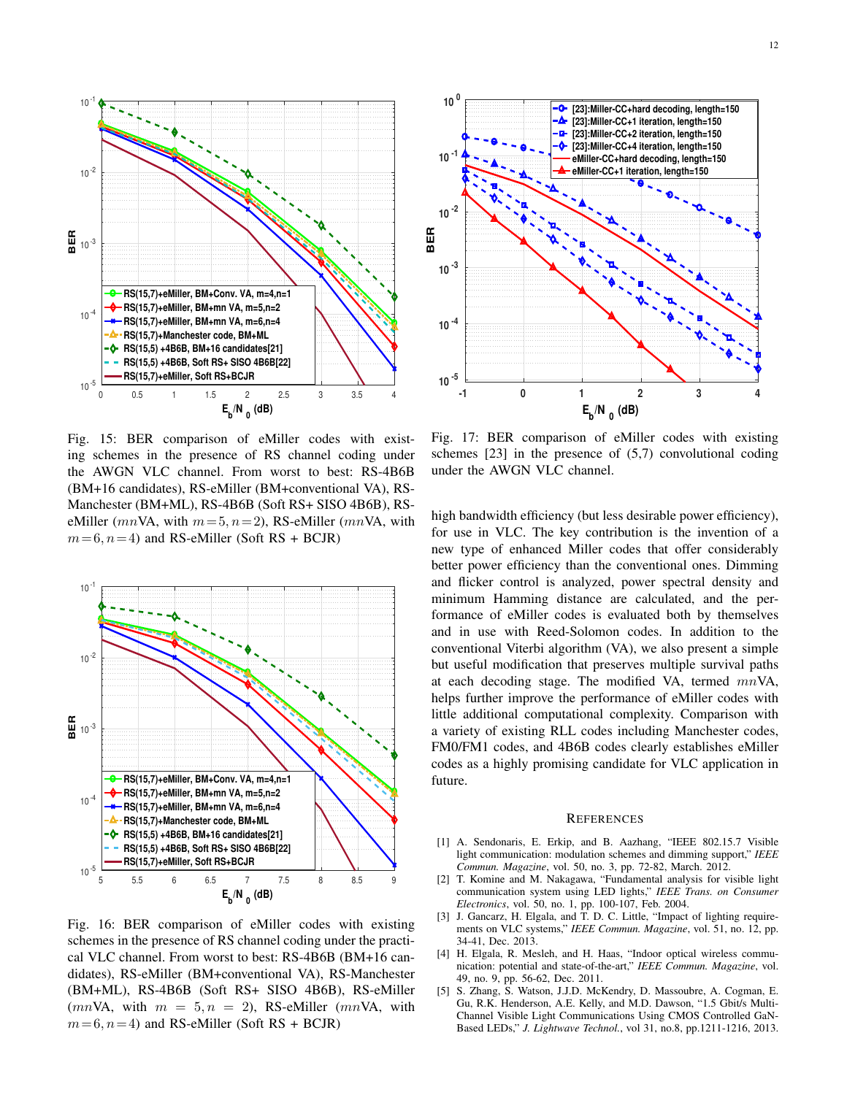





Fig. 16: BER comparison of eMiller codes with existing schemes in the presence of RS channel coding under the practical VLC channel. From worst to best: RS-4B6B (BM+16 candidates), RS-eMiller (BM+conventional VA), RS-Manchester (BM+ML), RS-4B6B (Soft RS+ SISO 4B6B), RS-eMiller  $(mnVA, with m = 5, n = 2)$ , RS-eMiller  $(mnVA, with$  $m= 6, n=4$ ) and RS-eMiller (Soft RS + BCJR)



Fig. 17: BER comparison of eMiller codes with existing schemes [23] in the presence of (5,7) convolutional coding under the AWGN VLC channel.

high bandwidth efficiency (but less desirable power efficiency), for use in VLC. The key contribution is the invention of a new type of enhanced Miller codes that offer considerably better power efficiency than the conventional ones. Dimming and flicker control is analyzed, power spectral density and minimum Hamming distance are calculated, and the performance of eMiller codes is evaluated both by themselves and in use with Reed-Solomon codes. In addition to the conventional Viterbi algorithm (VA), we also present a simple but useful modification that preserves multiple survival paths at each decoding stage. The modified VA, termed  $mnVA$ , helps further improve the performance of eMiller codes with little additional computational complexity. Comparison with a variety of existing RLL codes including Manchester codes, FM0/FM1 codes, and 4B6B codes clearly establishes eMiller codes as a highly promising candidate for VLC application in future.

#### **REFERENCES**

- [1] A. Sendonaris, E. Erkip, and B. Aazhang, "IEEE 802.15.7 Visible light communication: modulation schemes and dimming support," *IEEE Commun. Magazine*, vol. 50, no. 3, pp. 72-82, March. 2012.
- [2] T. Komine and M. Nakagawa, "Fundamental analysis for visible light communication system using LED lights," *IEEE Trans. on Consumer Electronics*, vol. 50, no. 1, pp. 100-107, Feb. 2004.
- [3] J. Gancarz, H. Elgala, and T. D. C. Little, "Impact of lighting requirements on VLC systems," *IEEE Commun. Magazine*, vol. 51, no. 12, pp. 34-41, Dec. 2013.
- [4] H. Elgala, R. Mesleh, and H. Haas, "Indoor optical wireless communication: potential and state-of-the-art," *IEEE Commun. Magazine*, vol. 49, no. 9, pp. 56-62, Dec. 2011.
- [5] S. Zhang, S. Watson, J.J.D. McKendry, D. Massoubre, A. Cogman, E. Gu, R.K. Henderson, A.E. Kelly, and M.D. Dawson, "1.5 Gbit/s Multi-Channel Visible Light Communications Using CMOS Controlled GaN-Based LEDs," *J. Lightwave Technol.*, vol 31, no.8, pp.1211-1216, 2013.